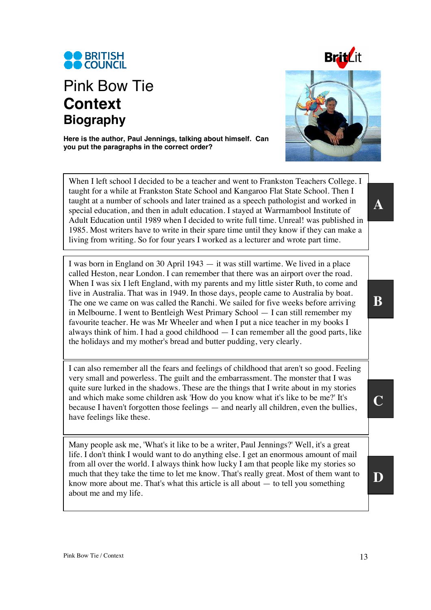

## Pink Bow Tie **Context Biography**



**Here is the author, Paul Jennings, talking about himself. Can you put the paragraphs in the correct order?** 

When I left school I decided to be a teacher and went to Frankston Teachers College. I taught for a while at Frankston State School and Kangaroo Flat State School. Then I taught at a number of schools and later trained as a speech pathologist and worked in special education, and then in adult education. I stayed at Warrnambool Institute of Adult Education until 1989 when I decided to write full time. Unreal! was published in 1985. Most writers have to write in their spare time until they know if they can make a living from writing. So for four years I worked as a lecturer and wrote part time.

I was born in England on 30 April 1943 — it was still wartime. We lived in a place called Heston, near London. I can remember that there was an airport over the road. When I was six I left England, with my parents and my little sister Ruth, to come and live in Australia. That was in 1949. In those days, people came to Australia by boat. The one we came on was called the Ranchi. We sailed for five weeks before arriving in Melbourne. I went to Bentleigh West Primary School — I can still remember my favourite teacher. He was Mr Wheeler and when I put a nice teacher in my books I always think of him. I had a good childhood  $-$  I can remember all the good parts, like the holidays and my mother's bread and butter pudding, very clearly.

I can also remember all the fears and feelings of childhood that aren't so good. Feeling very small and powerless. The guilt and the embarrassment. The monster that I was quite sure lurked in the shadows. These are the things that I write about in my stories and which make some children ask 'How do you know what it's like to be me?' It's because I haven't forgotten those feelings — and nearly all children, even the bullies, have feelings like these.

Many people ask me, 'What's it like to be a writer, Paul Jennings?' Well, it's a great life. I don't think I would want to do anything else. I get an enormous amount of mail from all over the world. I always think how lucky I am that people like my stories so much that they take the time to let me know. That's really great. Most of them want to know more about me. That's what this article is all about — to tell you something about me and my life.

**A** 

**C** 

**D**